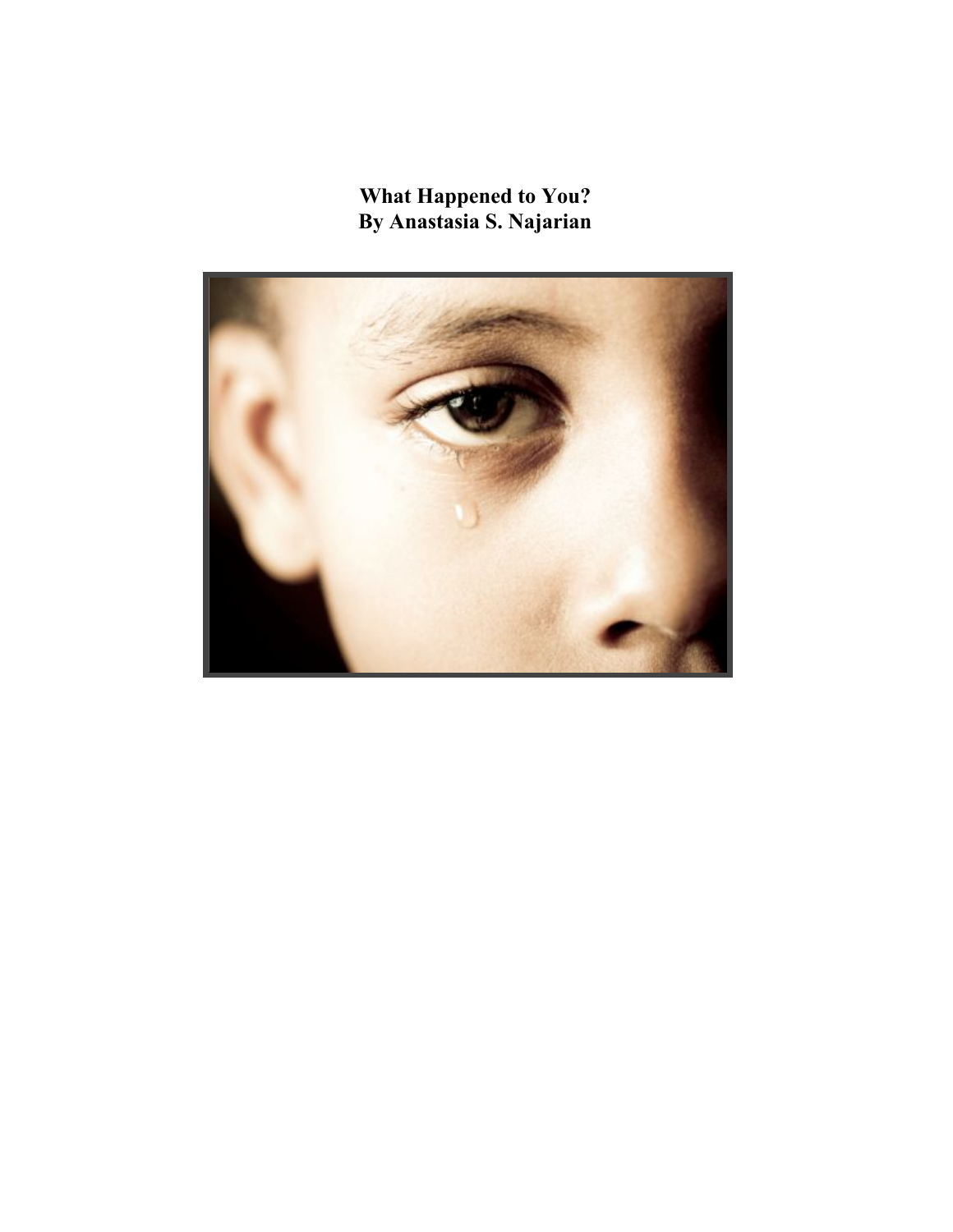**What Happened to You? By Anastasia S. Najarian**

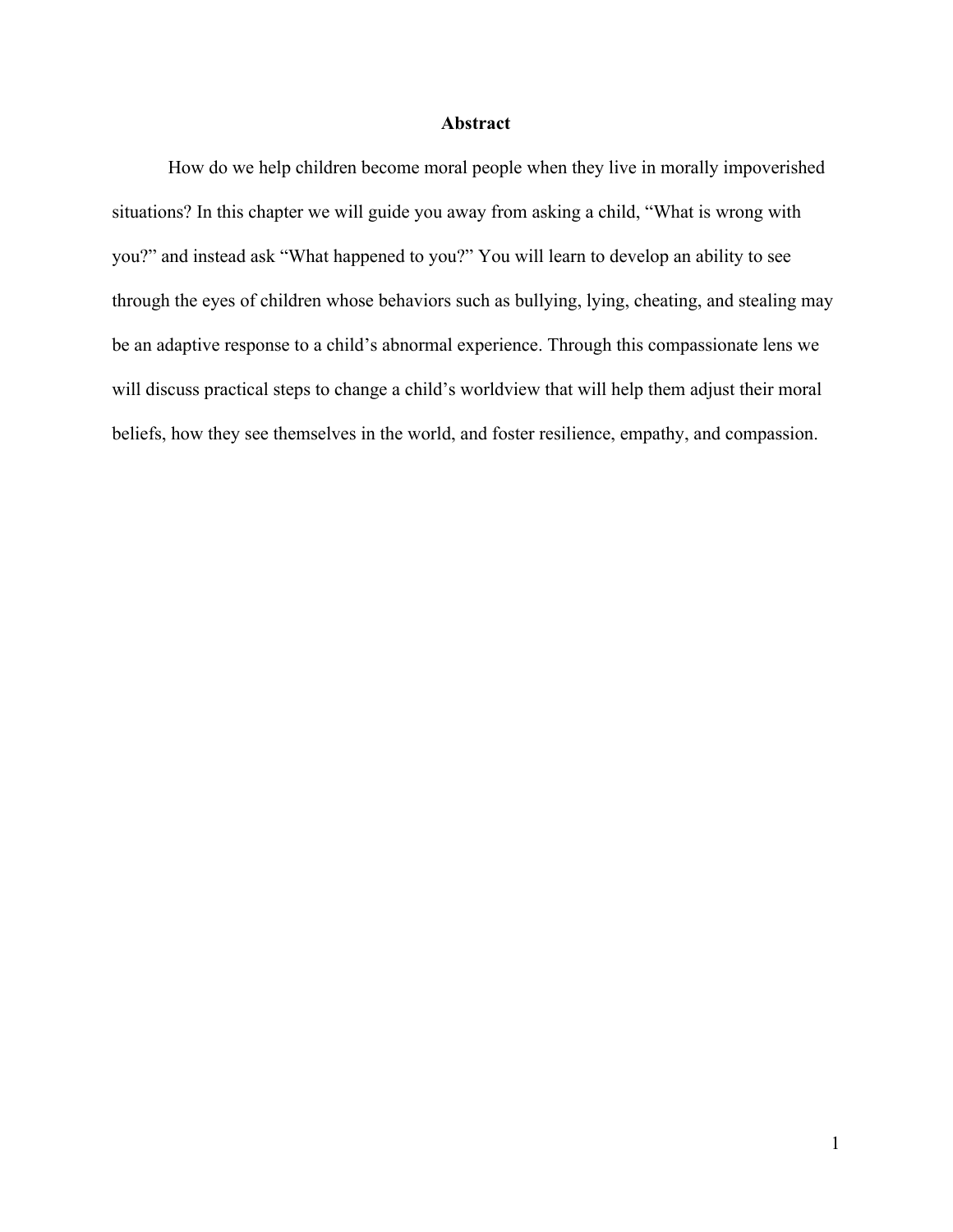## **Abstract**

How do we help children become moral people when they live in morally impoverished situations? In this chapter we will guide you away from asking a child, "What is wrong with you?" and instead ask "What happened to you?" You will learn to develop an ability to see through the eyes of children whose behaviors such as bullying, lying, cheating, and stealing may be an adaptive response to a child's abnormal experience. Through this compassionate lens we will discuss practical steps to change a child's worldview that will help them adjust their moral beliefs, how they see themselves in the world, and foster resilience, empathy, and compassion.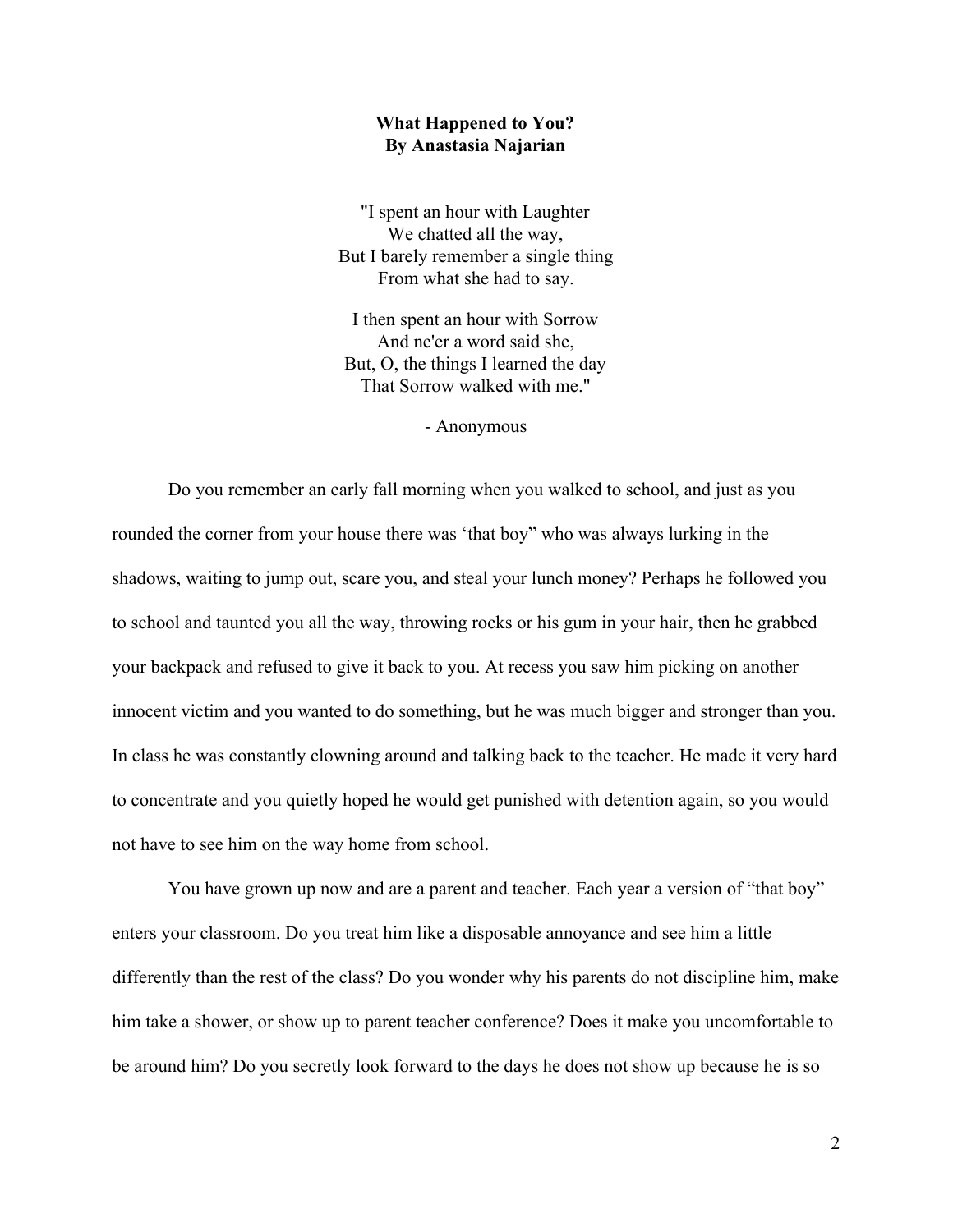## **What Happened to You? By Anastasia Najarian**

"I spent an hour with Laughter We chatted all the way, But I barely remember a single thing From what she had to say.

I then spent an hour with Sorrow And ne'er a word said she, But, O, the things I learned the day That Sorrow walked with me."

- Anonymous

Do you remember an early fall morning when you walked to school, and just as you rounded the corner from your house there was 'that boy" who was always lurking in the shadows, waiting to jump out, scare you, and steal your lunch money? Perhaps he followed you to school and taunted you all the way, throwing rocks or his gum in your hair, then he grabbed your backpack and refused to give it back to you. At recess you saw him picking on another innocent victim and you wanted to do something, but he was much bigger and stronger than you. In class he was constantly clowning around and talking back to the teacher. He made it very hard to concentrate and you quietly hoped he would get punished with detention again, so you would not have to see him on the way home from school.

You have grown up now and are a parent and teacher. Each year a version of "that boy" enters your classroom. Do you treat him like a disposable annoyance and see him a little differently than the rest of the class? Do you wonder why his parents do not discipline him, make him take a shower, or show up to parent teacher conference? Does it make you uncomfortable to be around him? Do you secretly look forward to the days he does not show up because he is so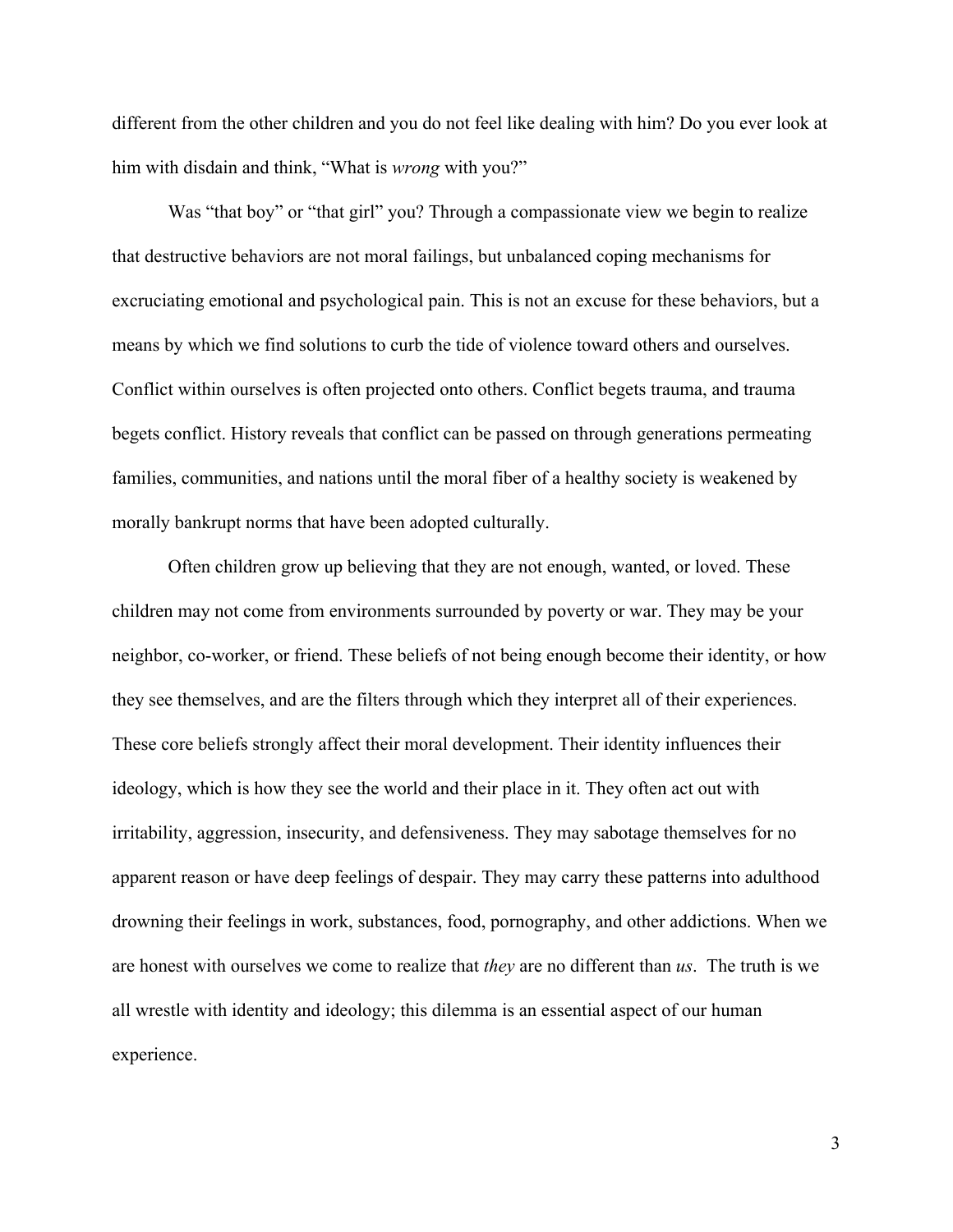different from the other children and you do not feel like dealing with him? Do you ever look at him with disdain and think, "What is *wrong* with you?"

Was "that boy" or "that girl" you? Through a compassionate view we begin to realize that destructive behaviors are not moral failings, but unbalanced coping mechanisms for excruciating emotional and psychological pain. This is not an excuse for these behaviors, but a means by which we find solutions to curb the tide of violence toward others and ourselves. Conflict within ourselves is often projected onto others. Conflict begets trauma, and trauma begets conflict. History reveals that conflict can be passed on through generations permeating families, communities, and nations until the moral fiber of a healthy society is weakened by morally bankrupt norms that have been adopted culturally.

Often children grow up believing that they are not enough, wanted, or loved. These children may not come from environments surrounded by poverty or war. They may be your neighbor, co-worker, or friend. These beliefs of not being enough become their identity, or how they see themselves, and are the filters through which they interpret all of their experiences. These core beliefs strongly affect their moral development. Their identity influences their ideology, which is how they see the world and their place in it. They often act out with irritability, aggression, insecurity, and defensiveness. They may sabotage themselves for no apparent reason or have deep feelings of despair. They may carry these patterns into adulthood drowning their feelings in work, substances, food, pornography, and other addictions. When we are honest with ourselves we come to realize that *they* are no different than *us*. The truth is we all wrestle with identity and ideology; this dilemma is an essential aspect of our human experience.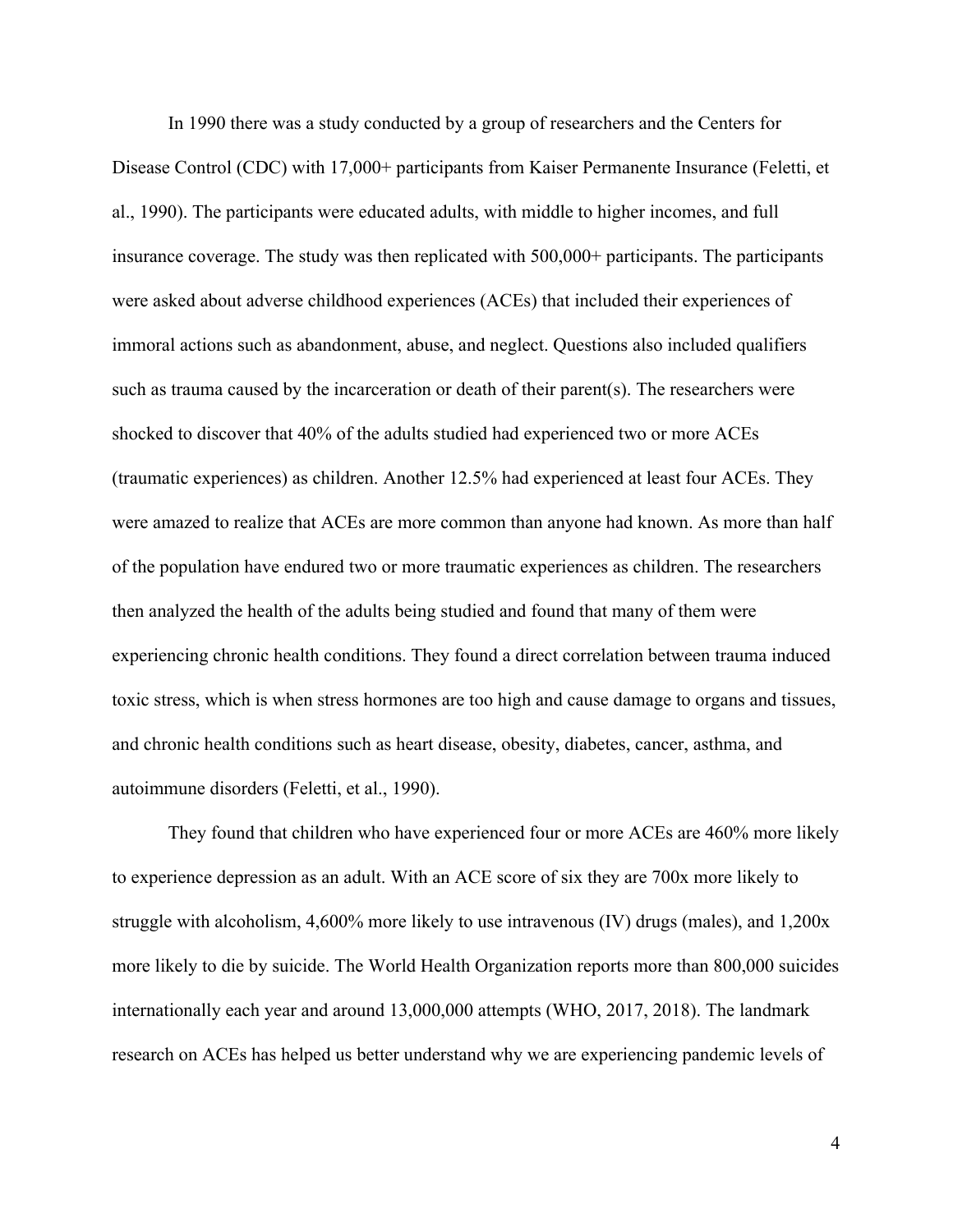In 1990 there was a study conducted by a group of researchers and the Centers for Disease Control (CDC) with 17,000+ participants from Kaiser Permanente Insurance (Feletti, et al., 1990). The participants were educated adults, with middle to higher incomes, and full insurance coverage. The study was then replicated with 500,000+ participants. The participants were asked about adverse childhood experiences (ACEs) that included their experiences of immoral actions such as abandonment, abuse, and neglect. Questions also included qualifiers such as trauma caused by the incarceration or death of their parent(s). The researchers were shocked to discover that 40% of the adults studied had experienced two or more ACEs (traumatic experiences) as children. Another 12.5% had experienced at least four ACEs. They were amazed to realize that ACEs are more common than anyone had known. As more than half of the population have endured two or more traumatic experiences as children. The researchers then analyzed the health of the adults being studied and found that many of them were experiencing chronic health conditions. They found a direct correlation between trauma induced toxic stress, which is when stress hormones are too high and cause damage to organs and tissues, and chronic health conditions such as heart disease, obesity, diabetes, cancer, asthma, and autoimmune disorders (Feletti, et al., 1990).

They found that children who have experienced four or more ACEs are 460% more likely to experience depression as an adult. With an ACE score of six they are 700x more likely to struggle with alcoholism, 4,600% more likely to use intravenous (IV) drugs (males), and 1,200x more likely to die by suicide. The World Health Organization reports more than 800,000 suicides internationally each year and around 13,000,000 attempts (WHO, 2017, 2018). The landmark research on ACEs has helped us better understand why we are experiencing pandemic levels of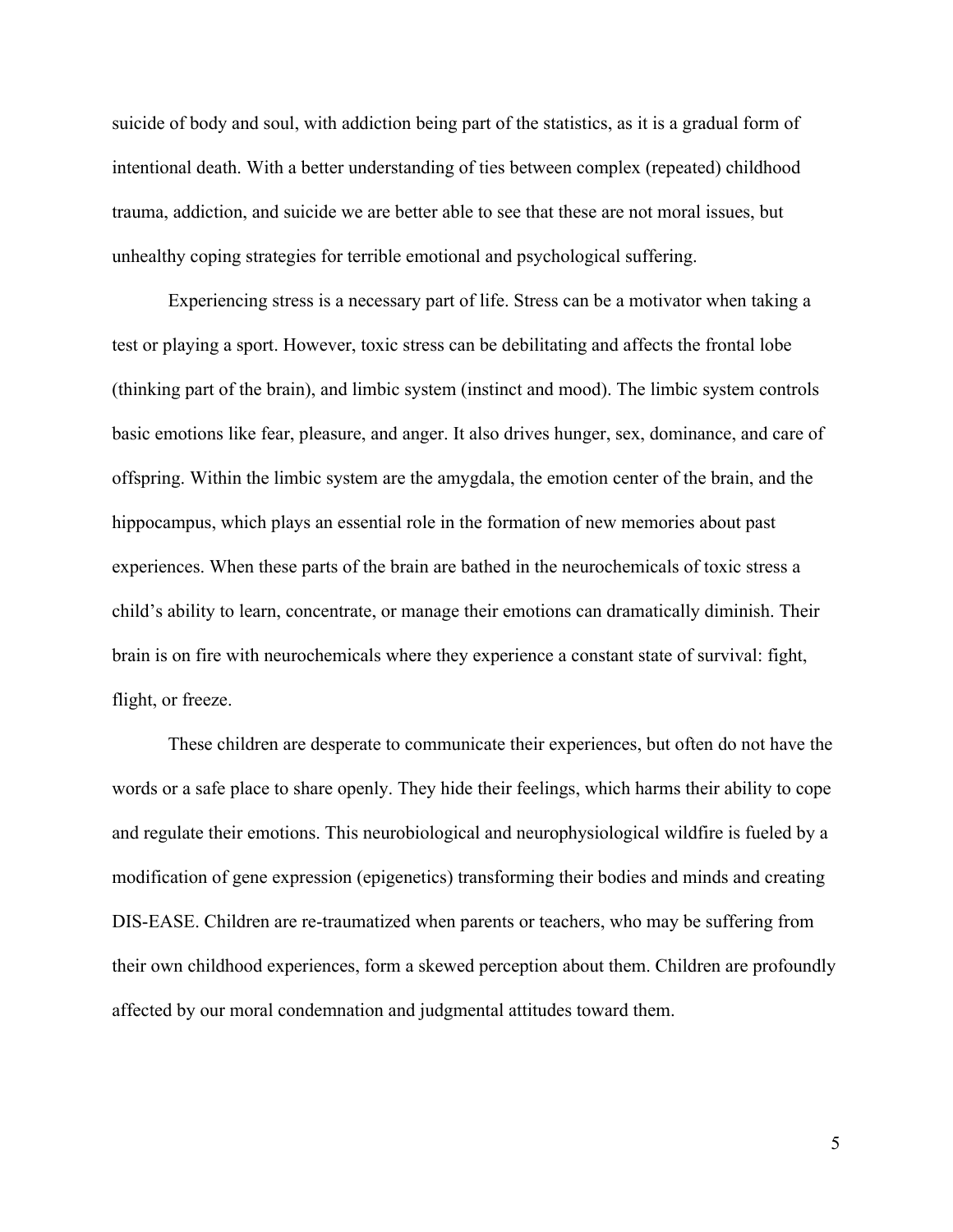suicide of body and soul, with addiction being part of the statistics, as it is a gradual form of intentional death. With a better understanding of ties between complex (repeated) childhood trauma, addiction, and suicide we are better able to see that these are not moral issues, but unhealthy coping strategies for terrible emotional and psychological suffering.

Experiencing stress is a necessary part of life. Stress can be a motivator when taking a test or playing a sport. However, toxic stress can be debilitating and affects the frontal lobe (thinking part of the brain), and limbic system (instinct and mood). The limbic system controls basic emotions like fear, pleasure, and anger. It also drives hunger, sex, dominance, and care of offspring. Within the limbic system are the amygdala, the emotion center of the brain, and the hippocampus, which plays an essential role in the formation of new memories about past experiences. When these parts of the brain are bathed in the neurochemicals of toxic stress a child's ability to learn, concentrate, or manage their emotions can dramatically diminish. Their brain is on fire with neurochemicals where they experience a constant state of survival: fight, flight, or freeze.

These children are desperate to communicate their experiences, but often do not have the words or a safe place to share openly. They hide their feelings, which harms their ability to cope and regulate their emotions. This neurobiological and neurophysiological wildfire is fueled by a modification of gene expression (epigenetics) transforming their bodies and minds and creating DIS-EASE. Children are re-traumatized when parents or teachers, who may be suffering from their own childhood experiences, form a skewed perception about them. Children are profoundly affected by our moral condemnation and judgmental attitudes toward them.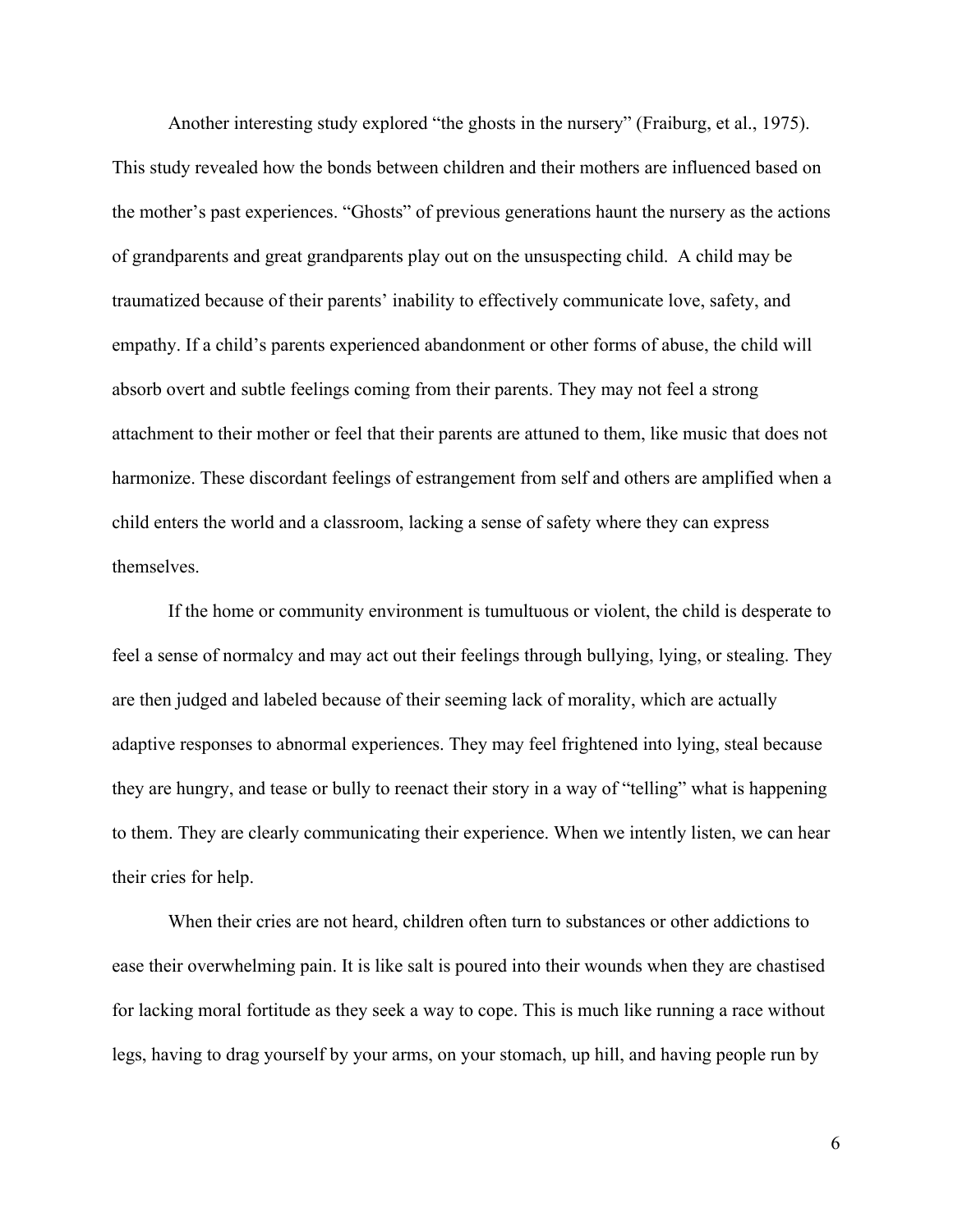Another interesting study explored "the ghosts in the nursery" (Fraiburg, et al., 1975). This study revealed how the bonds between children and their mothers are influenced based on the mother's past experiences. "Ghosts" of previous generations haunt the nursery as the actions of grandparents and great grandparents play out on the unsuspecting child. A child may be traumatized because of their parents' inability to effectively communicate love, safety, and empathy. If a child's parents experienced abandonment or other forms of abuse, the child will absorb overt and subtle feelings coming from their parents. They may not feel a strong attachment to their mother or feel that their parents are attuned to them, like music that does not harmonize. These discordant feelings of estrangement from self and others are amplified when a child enters the world and a classroom, lacking a sense of safety where they can express themselves.

If the home or community environment is tumultuous or violent, the child is desperate to feel a sense of normalcy and may act out their feelings through bullying, lying, or stealing. They are then judged and labeled because of their seeming lack of morality, which are actually adaptive responses to abnormal experiences. They may feel frightened into lying, steal because they are hungry, and tease or bully to reenact their story in a way of "telling" what is happening to them. They are clearly communicating their experience. When we intently listen, we can hear their cries for help.

When their cries are not heard, children often turn to substances or other addictions to ease their overwhelming pain. It is like salt is poured into their wounds when they are chastised for lacking moral fortitude as they seek a way to cope. This is much like running a race without legs, having to drag yourself by your arms, on your stomach, up hill, and having people run by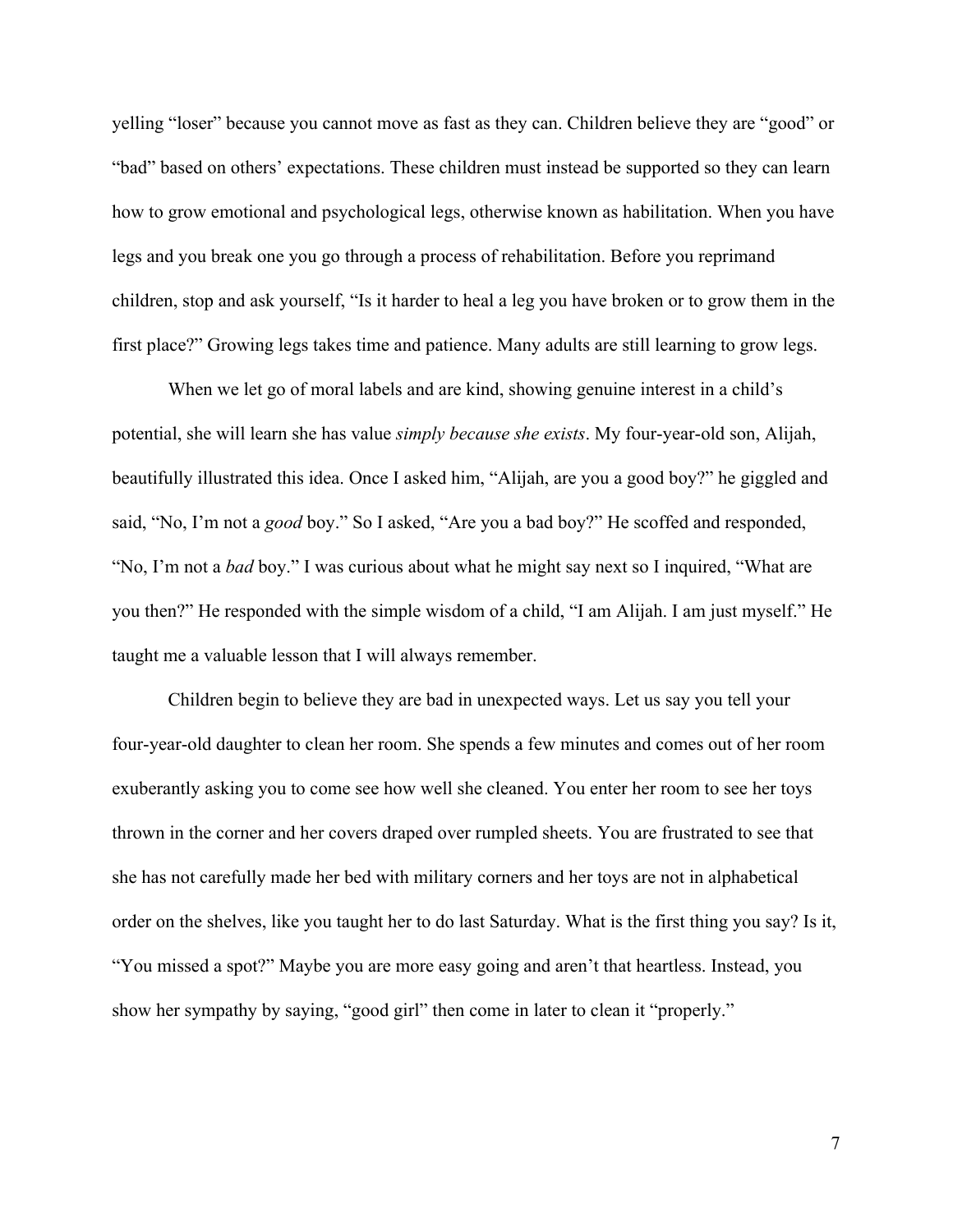yelling "loser" because you cannot move as fast as they can. Children believe they are "good" or "bad" based on others' expectations. These children must instead be supported so they can learn how to grow emotional and psychological legs, otherwise known as habilitation. When you have legs and you break one you go through a process of rehabilitation. Before you reprimand children, stop and ask yourself, "Is it harder to heal a leg you have broken or to grow them in the first place?" Growing legs takes time and patience. Many adults are still learning to grow legs.

When we let go of moral labels and are kind, showing genuine interest in a child's potential, she will learn she has value *simply because she exists*. My four-year-old son, Alijah, beautifully illustrated this idea. Once I asked him, "Alijah, are you a good boy?" he giggled and said, "No, I'm not a *good* boy." So I asked, "Are you a bad boy?" He scoffed and responded, "No, I'm not a *bad* boy." I was curious about what he might say next so I inquired, "What are you then?" He responded with the simple wisdom of a child, "I am Alijah. I am just myself." He taught me a valuable lesson that I will always remember.

Children begin to believe they are bad in unexpected ways. Let us say you tell your four-year-old daughter to clean her room. She spends a few minutes and comes out of her room exuberantly asking you to come see how well she cleaned. You enter her room to see her toys thrown in the corner and her covers draped over rumpled sheets. You are frustrated to see that she has not carefully made her bed with military corners and her toys are not in alphabetical order on the shelves, like you taught her to do last Saturday. What is the first thing you say? Is it, "You missed a spot?" Maybe you are more easy going and aren't that heartless. Instead, you show her sympathy by saying, "good girl" then come in later to clean it "properly."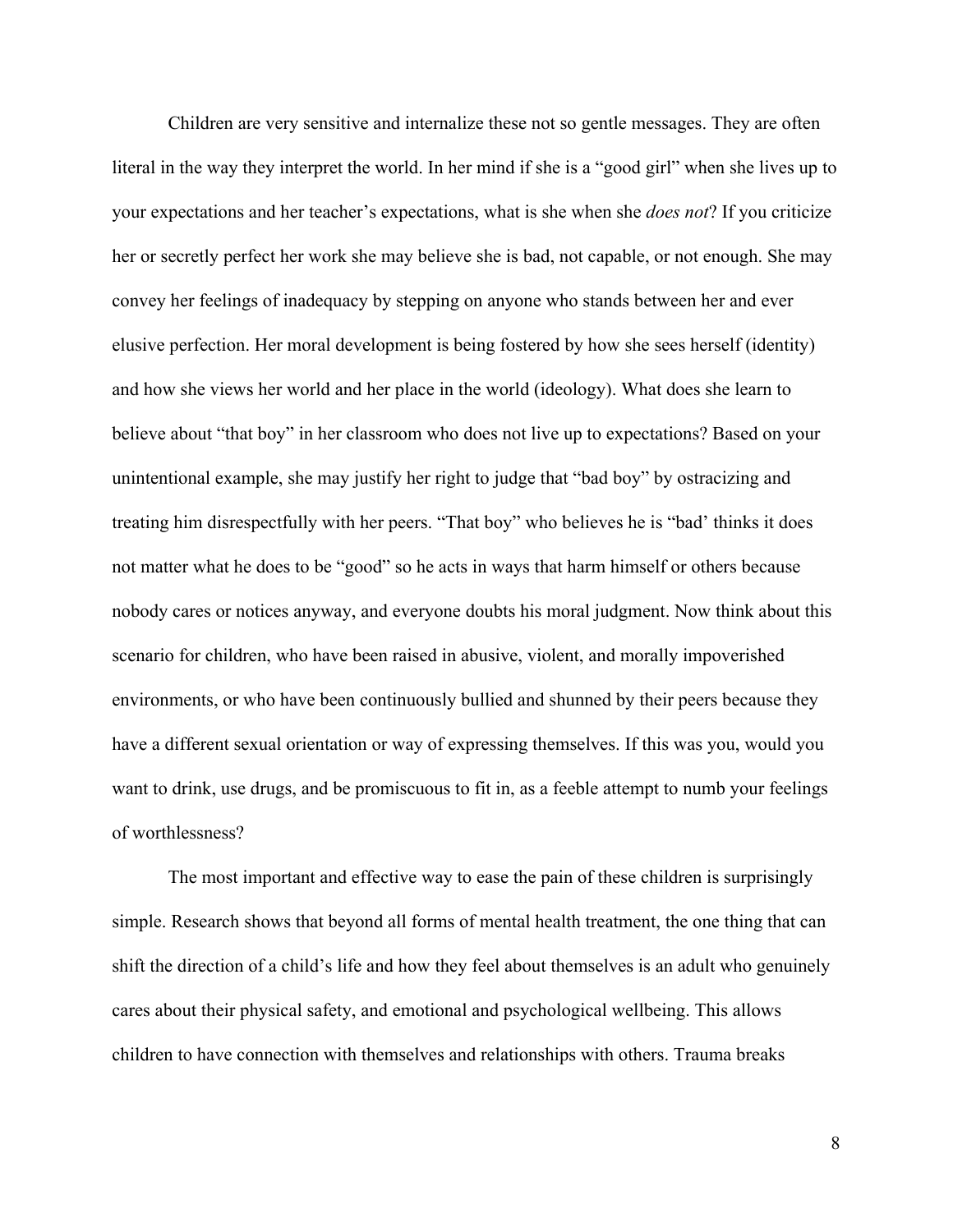Children are very sensitive and internalize these not so gentle messages. They are often literal in the way they interpret the world. In her mind if she is a "good girl" when she lives up to your expectations and her teacher's expectations, what is she when she *does not*? If you criticize her or secretly perfect her work she may believe she is bad, not capable, or not enough. She may convey her feelings of inadequacy by stepping on anyone who stands between her and ever elusive perfection. Her moral development is being fostered by how she sees herself (identity) and how she views her world and her place in the world (ideology). What does she learn to believe about "that boy" in her classroom who does not live up to expectations? Based on your unintentional example, she may justify her right to judge that "bad boy" by ostracizing and treating him disrespectfully with her peers. "That boy" who believes he is "bad' thinks it does not matter what he does to be "good" so he acts in ways that harm himself or others because nobody cares or notices anyway, and everyone doubts his moral judgment. Now think about this scenario for children, who have been raised in abusive, violent, and morally impoverished environments, or who have been continuously bullied and shunned by their peers because they have a different sexual orientation or way of expressing themselves. If this was you, would you want to drink, use drugs, and be promiscuous to fit in, as a feeble attempt to numb your feelings of worthlessness?

The most important and effective way to ease the pain of these children is surprisingly simple. Research shows that beyond all forms of mental health treatment, the one thing that can shift the direction of a child's life and how they feel about themselves is an adult who genuinely cares about their physical safety, and emotional and psychological wellbeing. This allows children to have connection with themselves and relationships with others. Trauma breaks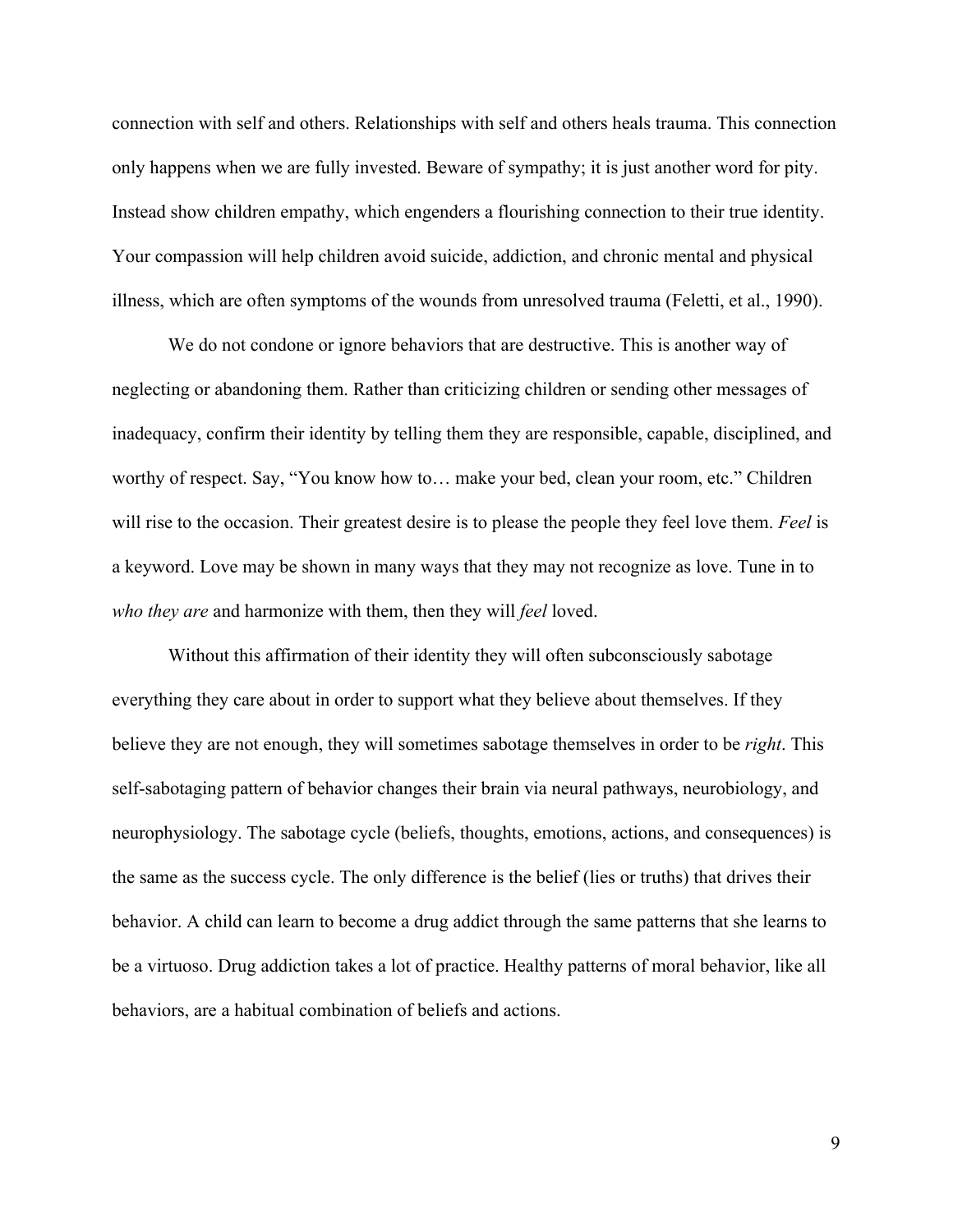connection with self and others. Relationships with self and others heals trauma. This connection only happens when we are fully invested. Beware of sympathy; it is just another word for pity. Instead show children empathy, which engenders a flourishing connection to their true identity. Your compassion will help children avoid suicide, addiction, and chronic mental and physical illness, which are often symptoms of the wounds from unresolved trauma (Feletti, et al., 1990).

We do not condone or ignore behaviors that are destructive. This is another way of neglecting or abandoning them. Rather than criticizing children or sending other messages of inadequacy, confirm their identity by telling them they are responsible, capable, disciplined, and worthy of respect. Say, "You know how to… make your bed, clean your room, etc." Children will rise to the occasion. Their greatest desire is to please the people they feel love them. *Feel* is a keyword. Love may be shown in many ways that they may not recognize as love. Tune in to *who they are* and harmonize with them, then they will *feel* loved.

Without this affirmation of their identity they will often subconsciously sabotage everything they care about in order to support what they believe about themselves. If they believe they are not enough, they will sometimes sabotage themselves in order to be *right*. This self-sabotaging pattern of behavior changes their brain via neural pathways, neurobiology, and neurophysiology. The sabotage cycle (beliefs, thoughts, emotions, actions, and consequences) is the same as the success cycle. The only difference is the belief (lies or truths) that drives their behavior. A child can learn to become a drug addict through the same patterns that she learns to be a virtuoso. Drug addiction takes a lot of practice. Healthy patterns of moral behavior, like all behaviors, are a habitual combination of beliefs and actions.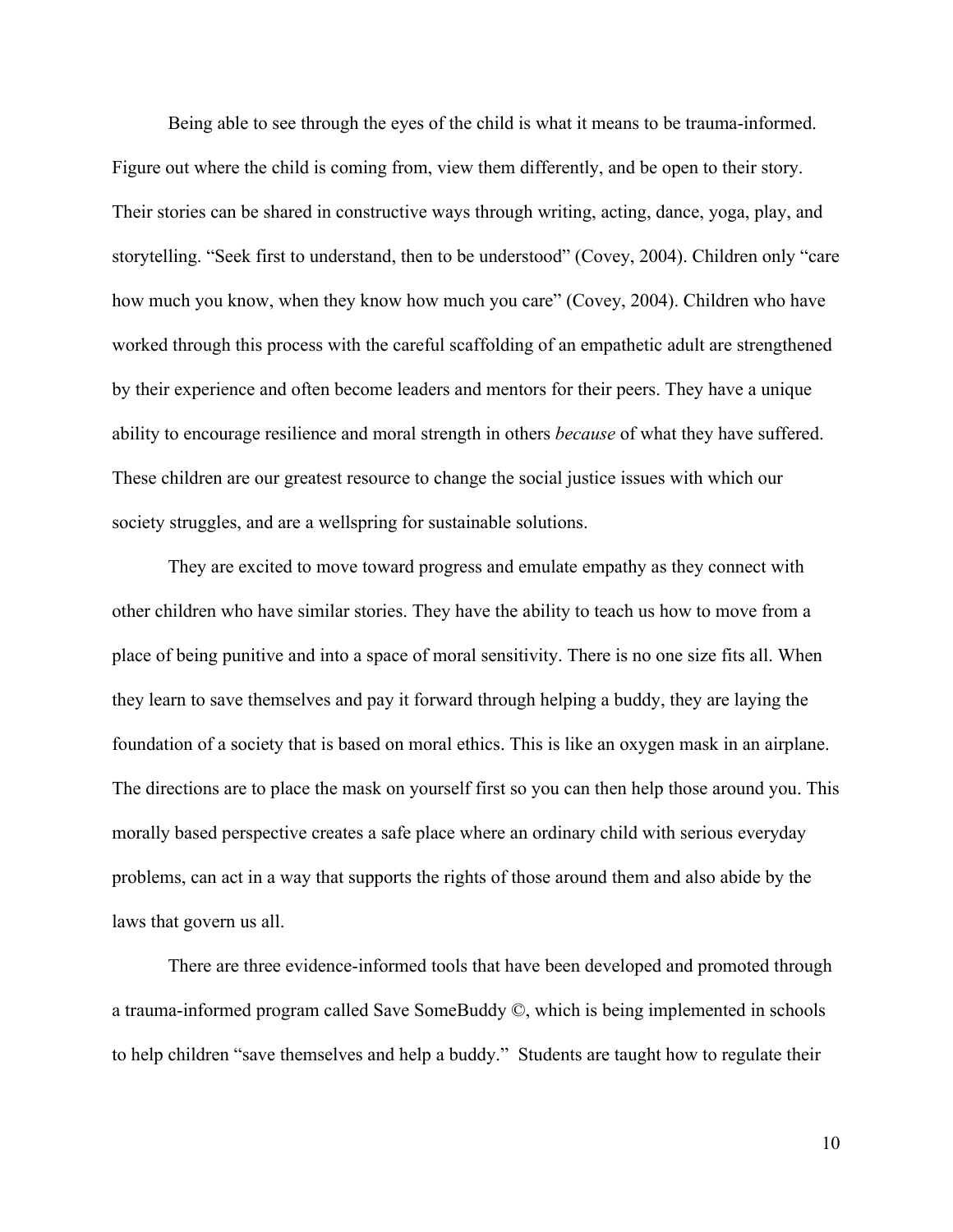Being able to see through the eyes of the child is what it means to be trauma-informed. Figure out where the child is coming from, view them differently, and be open to their story. Their stories can be shared in constructive ways through writing, acting, dance, yoga, play, and storytelling. "Seek first to understand, then to be understood" (Covey, 2004). Children only "care how much you know, when they know how much you care" (Covey, 2004). Children who have worked through this process with the careful scaffolding of an empathetic adult are strengthened by their experience and often become leaders and mentors for their peers. They have a unique ability to encourage resilience and moral strength in others *because* of what they have suffered. These children are our greatest resource to change the social justice issues with which our society struggles, and are a wellspring for sustainable solutions.

They are excited to move toward progress and emulate empathy as they connect with other children who have similar stories. They have the ability to teach us how to move from a place of being punitive and into a space of moral sensitivity. There is no one size fits all. When they learn to save themselves and pay it forward through helping a buddy, they are laying the foundation of a society that is based on moral ethics. This is like an oxygen mask in an airplane. The directions are to place the mask on yourself first so you can then help those around you. This morally based perspective creates a safe place where an ordinary child with serious everyday problems, can act in a way that supports the rights of those around them and also abide by the laws that govern us all.

There are three evidence-informed tools that have been developed and promoted through a trauma-informed program called Save SomeBuddy ©, which is being implemented in schools to help children "save themselves and help a buddy." Students are taught how to regulate their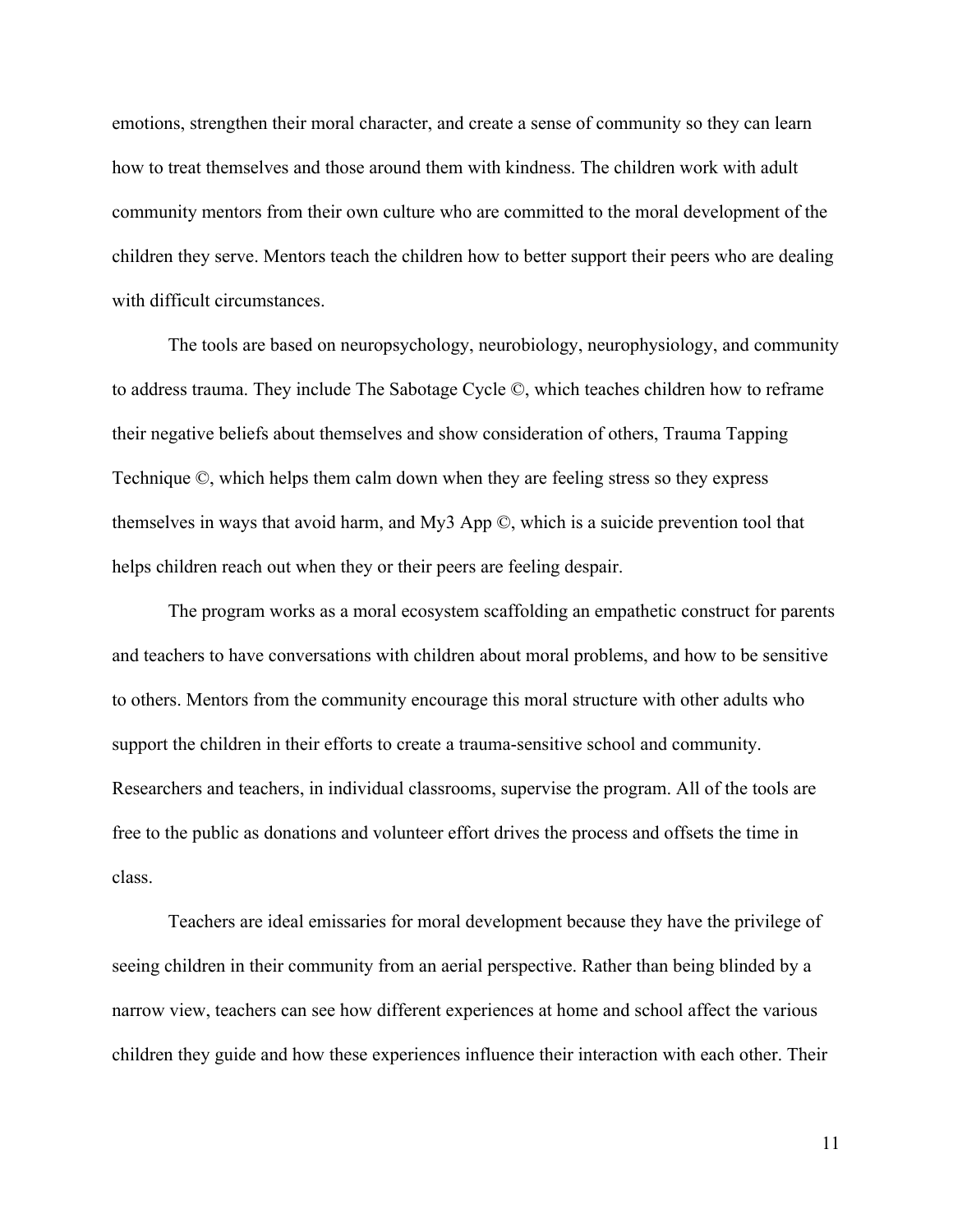emotions, strengthen their moral character, and create a sense of community so they can learn how to treat themselves and those around them with kindness. The children work with adult community mentors from their own culture who are committed to the moral development of the children they serve. Mentors teach the children how to better support their peers who are dealing with difficult circumstances

The tools are based on neuropsychology, neurobiology, neurophysiology, and community to address trauma. They include The Sabotage Cycle ©, which teaches children how to reframe their negative beliefs about themselves and show consideration of others, Trauma Tapping Technique ©, which helps them calm down when they are feeling stress so they express themselves in ways that avoid harm, and My3 App ©, which is a suicide prevention tool that helps children reach out when they or their peers are feeling despair.

The program works as a moral ecosystem scaffolding an empathetic construct for parents and teachers to have conversations with children about moral problems, and how to be sensitive to others. Mentors from the community encourage this moral structure with other adults who support the children in their efforts to create a trauma-sensitive school and community. Researchers and teachers, in individual classrooms, supervise the program. All of the tools are free to the public as donations and volunteer effort drives the process and offsets the time in class.

Teachers are ideal emissaries for moral development because they have the privilege of seeing children in their community from an aerial perspective. Rather than being blinded by a narrow view, teachers can see how different experiences at home and school affect the various children they guide and how these experiences influence their interaction with each other. Their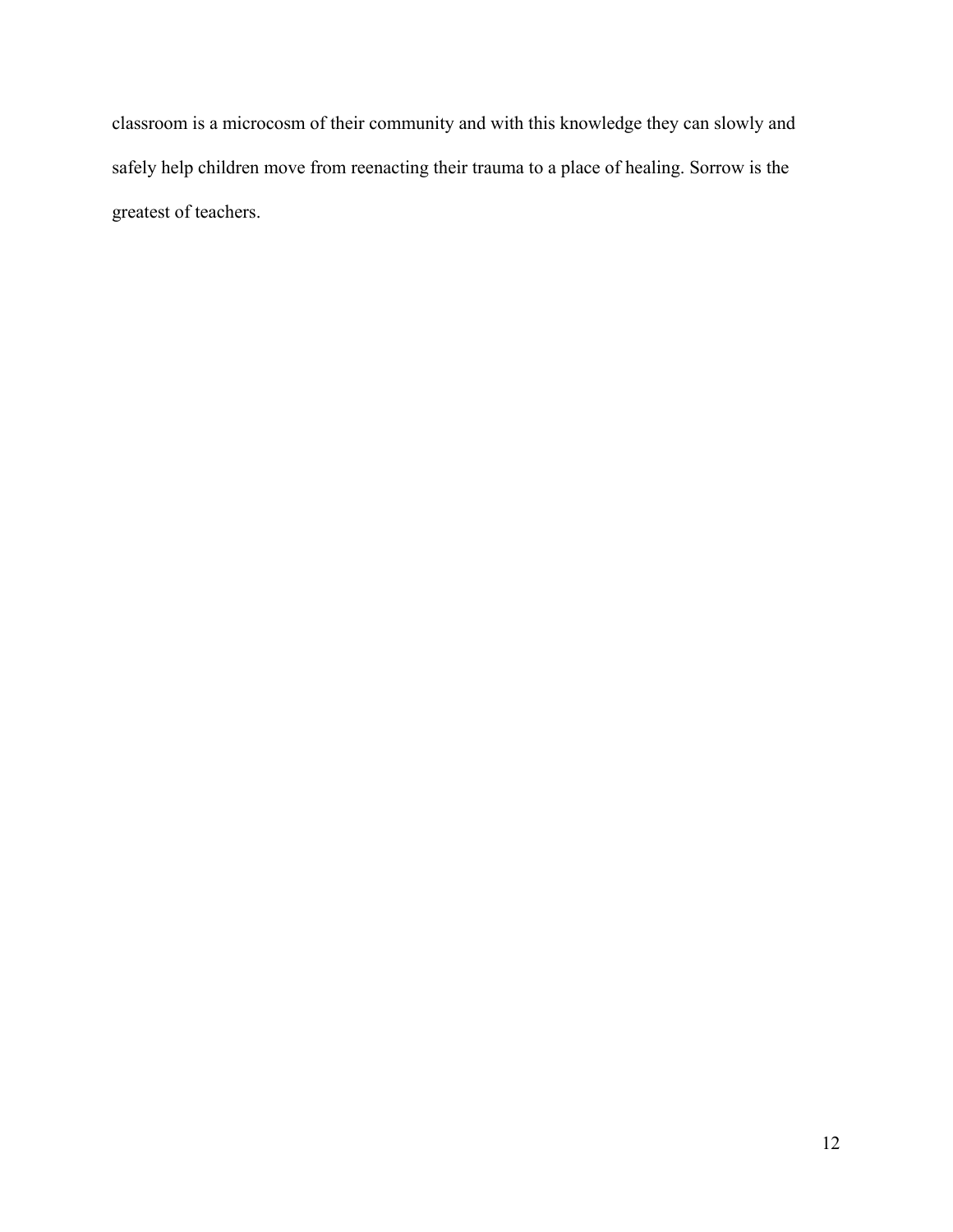classroom is a microcosm of their community and with this knowledge they can slowly and safely help children move from reenacting their trauma to a place of healing. Sorrow is the greatest of teachers.